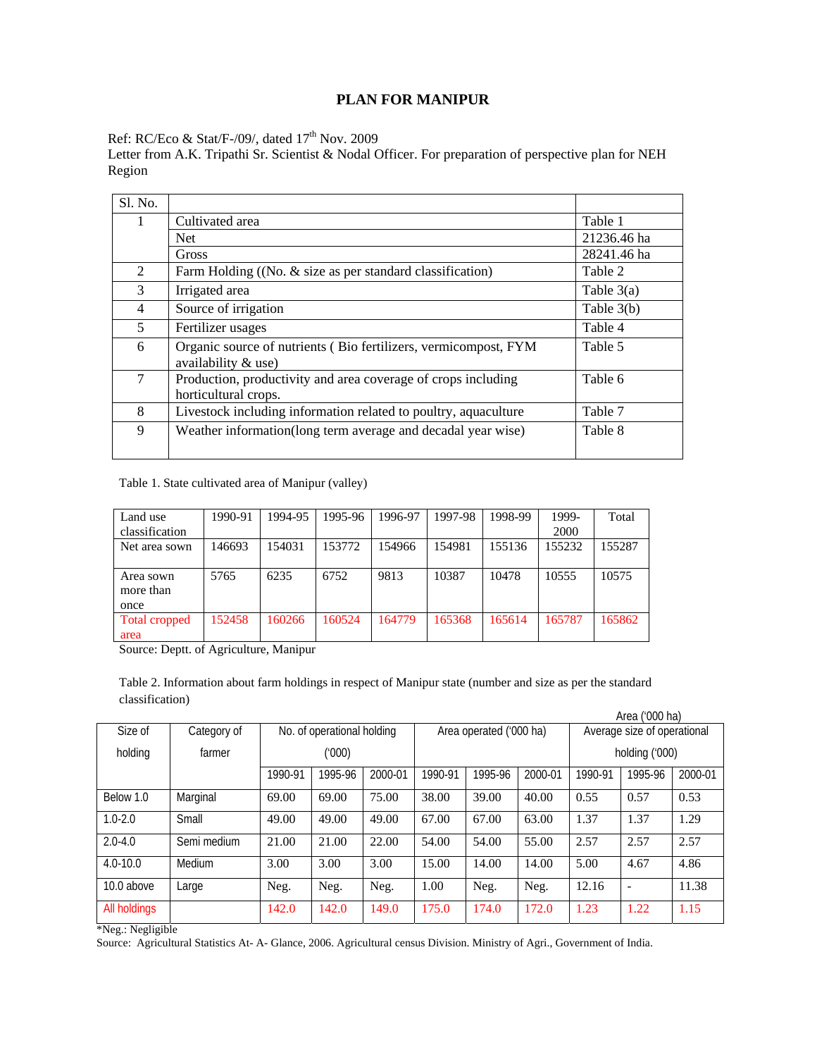# **PLAN FOR MANIPUR**

Ref: RC/Eco & Stat/F-/09/, dated 17<sup>th</sup> Nov. 2009

Letter from A.K. Tripathi Sr. Scientist & Nodal Officer. For preparation of perspective plan for NEH Region

| Sl. No.        |                                                                                        |              |
|----------------|----------------------------------------------------------------------------------------|--------------|
|                | Cultivated area                                                                        | Table 1      |
|                | <b>Net</b>                                                                             | 21236.46 ha  |
|                | Gross                                                                                  | 28241.46 ha  |
| $\overline{2}$ | Farm Holding ((No. & size as per standard classification)                              | Table 2      |
| 3              | Irrigated area                                                                         | Table $3(a)$ |
| 4              | Source of irrigation                                                                   | Table $3(b)$ |
| 5              | Fertilizer usages                                                                      | Table 4      |
| 6              | Organic source of nutrients (Bio fertilizers, vermicompost, FYM<br>availability & use) | Table 5      |
| 7              | Production, productivity and area coverage of crops including<br>horticultural crops.  | Table 6      |
| 8              | Livestock including information related to poultry, aquaculture                        | Table 7      |
| 9              | Weather information(long term average and decadal year wise)                           | Table 8      |

Table 1. State cultivated area of Manipur (valley)

| Land use       | 1990-91 | 1994-95 | 1995-96 | 1996-97 | 1997-98 | 1998-99 | 1999-  | Total  |
|----------------|---------|---------|---------|---------|---------|---------|--------|--------|
| classification |         |         |         |         |         |         | 2000   |        |
| Net area sown  | 146693  | 154031  | 153772  | 154966  | 154981  | 155136  | 155232 | 155287 |
|                |         |         |         |         |         |         |        |        |
| Area sown      | 5765    | 6235    | 6752    | 9813    | 10387   | 10478   | 10555  | 10575  |
| more than      |         |         |         |         |         |         |        |        |
| once           |         |         |         |         |         |         |        |        |
| Total cropped  | 152458  | 160266  | 160524  | 164779  | 165368  | 165614  | 165787 | 165862 |
| area           |         |         |         |         |         |         |        |        |

Source: Deptt. of Agriculture, Manipur

Table 2. Information about farm holdings in respect of Manipur state (number and size as per the standard classification)

|              | Area ('000 ha) |         |                            |         |         |                         |         |                             |                |         |  |  |  |  |  |
|--------------|----------------|---------|----------------------------|---------|---------|-------------------------|---------|-----------------------------|----------------|---------|--|--|--|--|--|
| Size of      | Category of    |         | No. of operational holding |         |         | Area operated ('000 ha) |         | Average size of operational |                |         |  |  |  |  |  |
| holding      | farmer         |         | (000)                      |         |         |                         |         |                             | holding ('000) |         |  |  |  |  |  |
|              |                | 1990-91 | 1995-96                    | 2000-01 | 1990-91 | 1995-96                 | 2000-01 | 1990-91                     | 1995-96        | 2000-01 |  |  |  |  |  |
| Below 1.0    | Marginal       | 69.00   | 69.00                      | 75.00   | 38.00   | 39.00                   | 40.00   | 0.55                        | 0.57           | 0.53    |  |  |  |  |  |
| $1.0 - 2.0$  | Small          | 49.00   | 49.00                      | 49.00   | 67.00   | 67.00                   | 63.00   | 1.37                        | 1.37           | 1.29    |  |  |  |  |  |
| $2.0 - 4.0$  | Semi medium    | 21.00   | 21.00                      | 22.00   | 54.00   | 54.00                   | 55.00   | 2.57                        | 2.57           | 2.57    |  |  |  |  |  |
| $4.0 - 10.0$ | Medium         | 3.00    | 3.00                       | 3.00    | 15.00   | 14.00                   | 14.00   | 5.00                        | 4.67           | 4.86    |  |  |  |  |  |
| 10.0 above   | Large          | Neg.    | Neg.                       | Neg.    | 1.00    | Neg.                    | Neg.    | 12.16                       |                | 11.38   |  |  |  |  |  |
| All holdings |                | 142.0   | 142.0                      | 149.0   | 175.0   | 174.0                   | 172.0   | 1.23                        | 1.22           | 1.15    |  |  |  |  |  |

\*Neg.: Negligible

Source: Agricultural Statistics At- A- Glance, 2006. Agricultural census Division. Ministry of Agri., Government of India.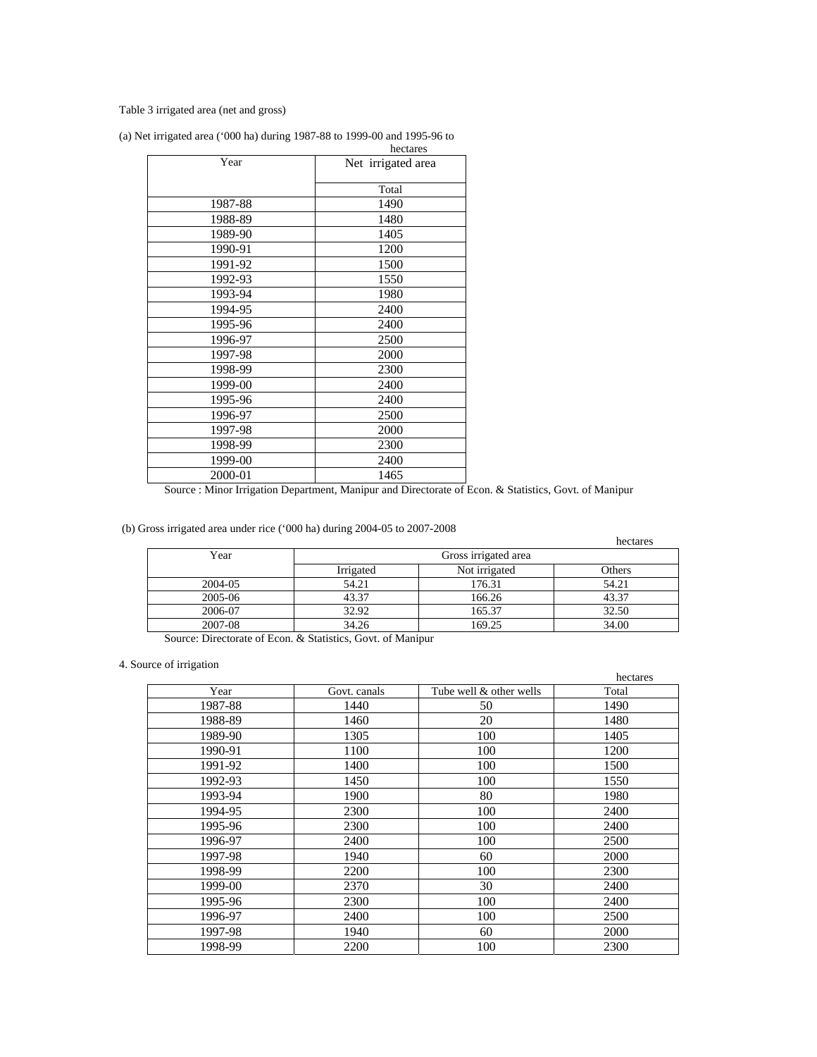## Table 3 irrigated area (net and gross)

| (a) Net irrigated area ('000 ha) during $1987-88$ to $1999-00$ and $1995-96$ to |  |          |
|---------------------------------------------------------------------------------|--|----------|
|                                                                                 |  | hectares |

|         | hectares           |
|---------|--------------------|
| Year    | Net irrigated area |
|         | Total              |
| 1987-88 | 1490               |
| 1988-89 | 1480               |
| 1989-90 | 1405               |
| 1990-91 | 1200               |
| 1991-92 | 1500               |
| 1992-93 | 1550               |
| 1993-94 | 1980               |
| 1994-95 | 2400               |
| 1995-96 | 2400               |
| 1996-97 | 2500               |
| 1997-98 | 2000               |
| 1998-99 | 2300               |
| 1999-00 | 2400               |
| 1995-96 | 2400               |
| 1996-97 | 2500               |
| 1997-98 | 2000               |
| 1998-99 | 2300               |
| 1999-00 | 2400               |
| 2000-01 | 1465               |

Source : Minor Irrigation Department, Manipur and Directorate of Econ. & Statistics, Govt. of Manipur

(b) Gross irrigated area under rice ('000 ha) during 2004-05 to 2007-2008

|         |           |                      | hectares |
|---------|-----------|----------------------|----------|
| Year    |           | Gross irrigated area |          |
|         | Irrigated | Not irrigated        | Others   |
| 2004-05 | 54.21     | 176.31               | 54.21    |
| 2005-06 | 43.37     | 166.26               | 43.37    |
| 2006-07 | 32.92     | 165.37               | 32.50    |
| 2007-08 | 34.26     | 169.25               | 34.00    |

Source: Directorate of Econ. & Statistics, Govt. of Manipur

# 4. Source of irrigation

|         |              |                         | hectares |
|---------|--------------|-------------------------|----------|
| Year    | Govt. canals | Tube well & other wells | Total    |
| 1987-88 | 1440         | 50                      | 1490     |
| 1988-89 | 1460         | 20                      | 1480     |
| 1989-90 | 1305         | 100                     | 1405     |
| 1990-91 | 1100         | 100                     | 1200     |
| 1991-92 | 1400         | 100                     | 1500     |
| 1992-93 | 1450         | 100                     | 1550     |
| 1993-94 | 1900         | 80                      | 1980     |
| 1994-95 | 2300         | 100                     | 2400     |
| 1995-96 | 2300         | 100                     | 2400     |
| 1996-97 | 2400         | 100                     | 2500     |
| 1997-98 | 1940         | 60                      | 2000     |
| 1998-99 | 2200         | 100                     | 2300     |
| 1999-00 | 2370         | 30                      | 2400     |
| 1995-96 | 2300         | 100                     | 2400     |
| 1996-97 | 2400         | 100                     | 2500     |
| 1997-98 | 1940         | 60                      | 2000     |
| 1998-99 | 2200         | 100                     | 2300     |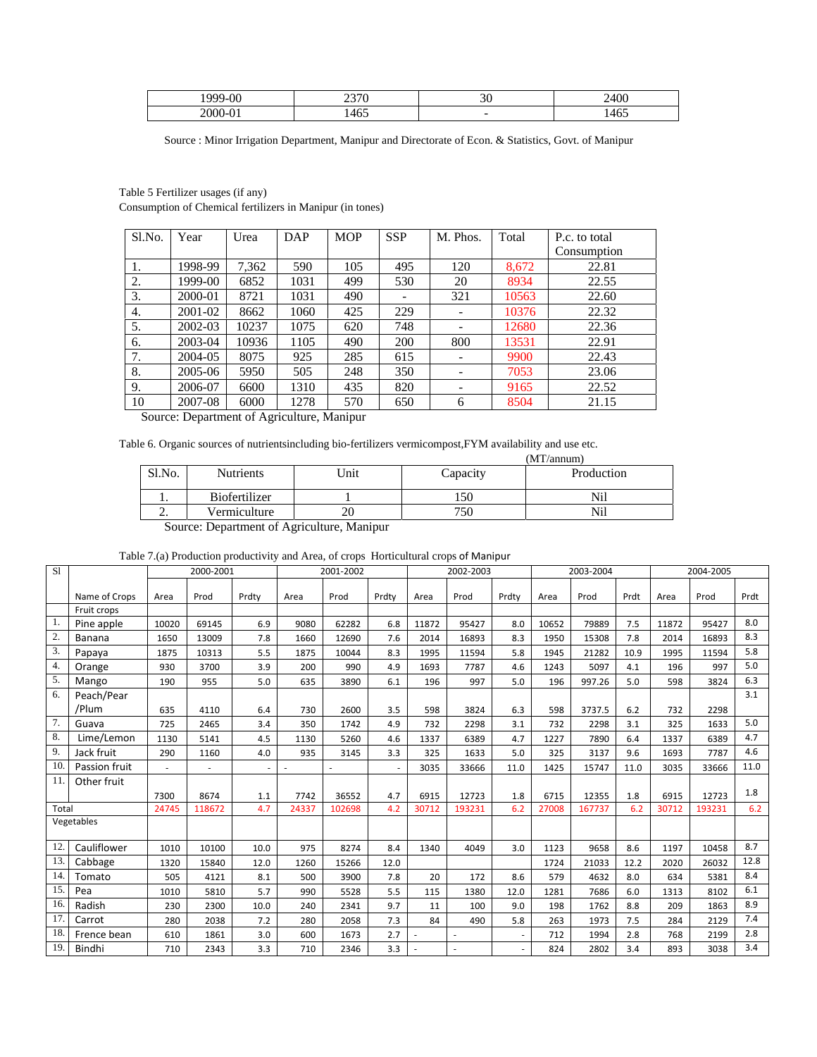| $\Omega$<br>، صمد | --                | n c<br>৴ 、               | 2400 |
|-------------------|-------------------|--------------------------|------|
|                   | $\epsilon$<br>46. | $\overline{\phantom{a}}$ | 1465 |

Source : Minor Irrigation Department, Manipur and Directorate of Econ. & Statistics, Govt. of Manipur

Table 5 Fertilizer usages (if any) Consumption of Chemical fertilizers in Manipur (in tones)

| Sl.No. | Year    | Urea  | DAP  | <b>MOP</b> | <b>SSP</b> | M. Phos.                 | Total | P.c. to total |
|--------|---------|-------|------|------------|------------|--------------------------|-------|---------------|
|        |         |       |      |            |            |                          |       | Consumption   |
| 1.     | 1998-99 | 7,362 | 590  | 105        | 495        | 120                      | 8,672 | 22.81         |
| 2.     | 1999-00 | 6852  | 1031 | 499        | 530        | 20                       | 8934  | 22.55         |
| 3.     | 2000-01 | 8721  | 1031 | 490        |            | 321                      | 10563 | 22.60         |
| 4.     | 2001-02 | 8662  | 1060 | 425        | 229        |                          | 10376 | 22.32         |
| 5.     | 2002-03 | 10237 | 1075 | 620        | 748        |                          | 12680 | 22.36         |
| 6.     | 2003-04 | 10936 | 1105 | 490        | 200        | 800                      | 13531 | 22.91         |
| 7.     | 2004-05 | 8075  | 925  | 285        | 615        |                          | 9900  | 22.43         |
| 8.     | 2005-06 | 5950  | 505  | 248        | 350        | $\overline{\phantom{0}}$ | 7053  | 23.06         |
| 9.     | 2006-07 | 6600  | 1310 | 435        | 820        | $\overline{\phantom{0}}$ | 9165  | 22.52         |
| 10     | 2007-08 | 6000  | 1278 | 570        | 650        | 6                        | 8504  | 21.15         |

Source: Department of Agriculture, Manipur

Table 6. Organic sources of nutrientsincluding bio-fertilizers vermicompost,FYM availability and use etc.

| (MT/annum) |                                           |      |          |            |  |  |  |  |  |  |  |
|------------|-------------------------------------------|------|----------|------------|--|--|--|--|--|--|--|
| Sl.No.     | <b>Nutrients</b>                          | Unit | Capacity | Production |  |  |  |  |  |  |  |
|            | <b>Biofertilizer</b>                      |      | .50      | Nil        |  |  |  |  |  |  |  |
| <u>.</u>   | Vermiculture                              | 20   | 750      | Nil        |  |  |  |  |  |  |  |
|            | Course: Donortment of Agriculture Moninum |      |          |            |  |  |  |  |  |  |  |

Source: Department of Agriculture, Manipur

Table 7.(a) Production productivity and Area, of crops Horticultural crops of Manipur

| $\overline{SI}$ |               |       | 2000-2001 |        |       | 2001-2002 |       |       | 2002-2003 |       |       | 2003-2004 |      |       | 2004-2005 |      |
|-----------------|---------------|-------|-----------|--------|-------|-----------|-------|-------|-----------|-------|-------|-----------|------|-------|-----------|------|
|                 | Name of Crops | Area  | Prod      | Prdty  | Area  | Prod      | Prdty | Area  | Prod      | Prdty | Area  | Prod      | Prdt | Area  | Prod      | Prdt |
|                 | Fruit crops   |       |           |        |       |           |       |       |           |       |       |           |      |       |           |      |
| 1.              | Pine apple    | 10020 | 69145     | 6.9    | 9080  | 62282     | 6.8   | 11872 | 95427     | 8.0   | 10652 | 79889     | 7.5  | 11872 | 95427     | 8.0  |
| 2.              | Banana        | 1650  | 13009     | 7.8    | 1660  | 12690     | 7.6   | 2014  | 16893     | 8.3   | 1950  | 15308     | 7.8  | 2014  | 16893     | 8.3  |
| 3.              | Papaya        | 1875  | 10313     | 5.5    | 1875  | 10044     | 8.3   | 1995  | 11594     | 5.8   | 1945  | 21282     | 10.9 | 1995  | 11594     | 5.8  |
| 4.              | Orange        | 930   | 3700      | 3.9    | 200   | 990       | 4.9   | 1693  | 7787      | 4.6   | 1243  | 5097      | 4.1  | 196   | 997       | 5.0  |
| 5.              | Mango         | 190   | 955       | 5.0    | 635   | 3890      | 6.1   | 196   | 997       | 5.0   | 196   | 997.26    | 5.0  | 598   | 3824      | 6.3  |
| 6.              | Peach/Pear    |       |           |        |       |           |       |       |           |       |       |           |      |       |           | 3.1  |
|                 | /Plum         | 635   | 4110      | 6.4    | 730   | 2600      | 3.5   | 598   | 3824      | 6.3   | 598   | 3737.5    | 6.2  | 732   | 2298      |      |
| 7.              | Guava         | 725   | 2465      | 3.4    | 350   | 1742      | 4.9   | 732   | 2298      | 3.1   | 732   | 2298      | 3.1  | 325   | 1633      | 5.0  |
| 8.              | Lime/Lemon    | 1130  | 5141      | 4.5    | 1130  | 5260      | 4.6   | 1337  | 6389      | 4.7   | 1227  | 7890      | 6.4  | 1337  | 6389      | 4.7  |
| 9.              | Jack fruit    | 290   | 1160      | 4.0    | 935   | 3145      | 3.3   | 325   | 1633      | 5.0   | 325   | 3137      | 9.6  | 1693  | 7787      | 4.6  |
| 10.             | Passion fruit | ٠     |           | $\sim$ |       |           |       | 3035  | 33666     | 11.0  | 1425  | 15747     | 11.0 | 3035  | 33666     | 11.0 |
| 11              | Other fruit   |       |           |        |       |           |       |       |           |       |       |           |      |       |           |      |
|                 |               | 7300  | 8674      | 1.1    | 7742  | 36552     | 4.7   | 6915  | 12723     | 1.8   | 6715  | 12355     | 1.8  | 6915  | 12723     | 1.8  |
| Total           |               | 24745 | 118672    | 4.7    | 24337 | 102698    | 4.2   | 30712 | 193231    | 6.2   | 27008 | 167737    | 6.2  | 30712 | 193231    | 6.2  |
|                 | Vegetables    |       |           |        |       |           |       |       |           |       |       |           |      |       |           |      |
| 12              | Cauliflower   | 1010  | 10100     | 10.0   | 975   | 8274      | 8.4   | 1340  | 4049      | 3.0   | 1123  | 9658      | 8.6  | 1197  | 10458     | 8.7  |
| 13.             | Cabbage       | 1320  | 15840     | 12.0   | 1260  | 15266     | 12.0  |       |           |       | 1724  | 21033     | 12.2 | 2020  | 26032     | 12.8 |
| 14              | Tomato        | 505   | 4121      | 8.1    | 500   | 3900      | 7.8   | 20    | 172       | 8.6   | 579   | 4632      | 8.0  | 634   | 5381      | 8.4  |
| 15.             | Pea           | 1010  | 5810      | 5.7    | 990   | 5528      | 5.5   | 115   | 1380      | 12.0  | 1281  | 7686      | 6.0  | 1313  | 8102      | 6.1  |
| 16.             | Radish        | 230   | 2300      | 10.0   | 240   | 2341      | 9.7   | 11    | 100       | 9.0   | 198   | 1762      | 8.8  | 209   | 1863      | 8.9  |
| 17.             | Carrot        | 280   | 2038      | 7.2    | 280   | 2058      | 7.3   | 84    | 490       | 5.8   | 263   | 1973      | 7.5  | 284   | 2129      | 7.4  |
| 18.             | Frence bean   | 610   | 1861      | 3.0    | 600   | 1673      | 2.7   |       |           |       | 712   | 1994      | 2.8  | 768   | 2199      | 2.8  |
| 19              | Bindhi        | 710   | 2343      | 3.3    | 710   | 2346      | 3.3   |       |           |       | 824   | 2802      | 3.4  | 893   | 3038      | 3.4  |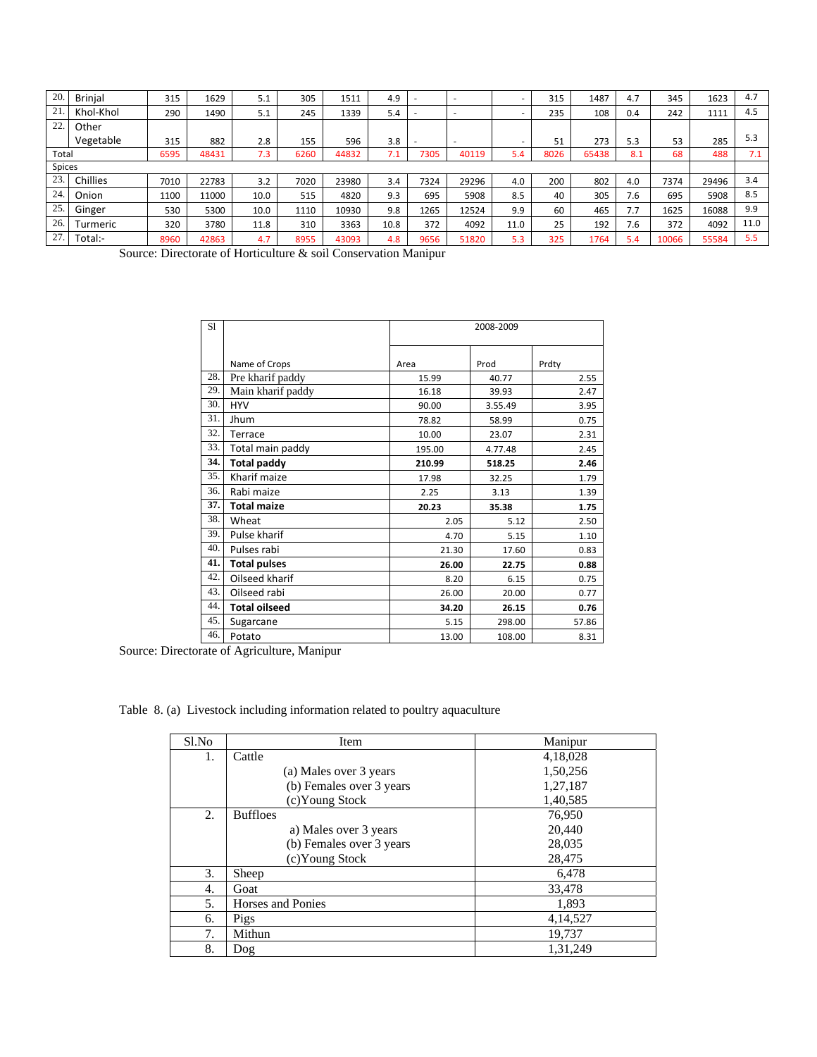| 20.   | <b>Brinial</b> | 315  | 1629  | 5.1  | 305  | 1511  | 4.9  |      |                          |                          | 315  | 1487  | 4.7 | 345   | 1623  | 4.7  |
|-------|----------------|------|-------|------|------|-------|------|------|--------------------------|--------------------------|------|-------|-----|-------|-------|------|
| 21.   | Khol-Khol      | 290  | 1490  | 5.1  | 245  | 1339  | 5.4  |      | $\overline{\phantom{a}}$ |                          | 235  | 108   | 0.4 | 242   | 1111  | 4.5  |
| 22.   | Other          |      |       |      |      |       |      |      |                          |                          |      |       |     |       |       |      |
|       | Vegetable      | 315  | 882   | 2.8  | 155  | 596   | 3.8  |      |                          | $\overline{\phantom{a}}$ | 51   | 273   | 5.3 | 53    | 285   | 5.3  |
| Total |                | 6595 | 48431 | 7.3  | 6260 | 44832 | 7.1  | 7305 | 40119                    | 5.4                      | 8026 | 65438 | 8.1 | 68    | 488   | 7.1  |
|       | Spices         |      |       |      |      |       |      |      |                          |                          |      |       |     |       |       |      |
| 23.   | Chillies       | 7010 | 22783 | 3.2  | 7020 | 23980 | 3.4  | 7324 | 29296                    | 4.0                      | 200  | 802   | 4.0 | 7374  | 29496 | 3.4  |
| 24.   | Onion          | 1100 | 11000 | 10.0 | 515  | 4820  | 9.3  | 695  | 5908                     | 8.5                      | 40   | 305   | 7.6 | 695   | 5908  | 8.5  |
| 25.   | Ginger         | 530  | 5300  | 10.0 | 1110 | 10930 | 9.8  | 1265 | 12524                    | 9.9                      | 60   | 465   | 7.7 | 1625  | 16088 | 9.9  |
| 26.   | Turmeric       | 320  | 3780  | 11.8 | 310  | 3363  | 10.8 | 372  | 4092                     | 11.0                     | 25   | 192   | 7.6 | 372   | 4092  | 11.0 |
| 27.   | Total:-        | 8960 | 42863 | 4.7  | 8955 | 43093 | 4.8  | 9656 | 51820                    | 5.3                      | 325  | 1764  | 5.4 | 10066 | 55584 | 5.5  |

Source: Directorate of Horticulture & soil Conservation Manipur

| S1  |                      |        | 2008-2009 |       |
|-----|----------------------|--------|-----------|-------|
|     | Name of Crops        | Area   | Prod      | Prdty |
| 28. | Pre kharif paddy     | 15.99  | 40.77     | 2.55  |
| 29. | Main kharif paddy    | 16.18  | 39.93     | 2.47  |
| 30. | <b>HYV</b>           | 90.00  | 3.55.49   | 3.95  |
| 31. | Jhum                 | 78.82  | 58.99     | 0.75  |
| 32. | Terrace              | 10.00  | 23.07     | 2.31  |
| 33. | Total main paddy     | 195.00 | 4.77.48   | 2.45  |
| 34. | <b>Total paddy</b>   | 210.99 | 518.25    | 2.46  |
| 35. | Kharif maize         | 17.98  | 32.25     | 1.79  |
| 36. | Rabi maize           | 2.25   | 3.13      | 1.39  |
| 37. | <b>Total maize</b>   | 20.23  | 35.38     | 1.75  |
| 38. | Wheat                | 2.05   | 5.12      | 2.50  |
| 39. | Pulse kharif         | 4.70   | 5.15      | 1.10  |
| 40. | Pulses rabi          | 21.30  | 17.60     | 0.83  |
| 41. | <b>Total pulses</b>  | 26.00  | 22.75     | 0.88  |
| 42. | Oilseed kharif       | 8.20   | 6.15      | 0.75  |
| 43. | Oilseed rabi         | 26.00  | 20.00     | 0.77  |
| 44. | <b>Total oilseed</b> | 34.20  | 26.15     | 0.76  |
| 45. | Sugarcane            | 5.15   | 298.00    | 57.86 |
| 46. | Potato               | 13.00  | 108.00    | 8.31  |

Source: Directorate of Agriculture, Manipur

Table 8. (a) Livestock including information related to poultry aquaculture

| Sl.No | Item                     | Manipur  |
|-------|--------------------------|----------|
| 1.    | Cattle                   | 4,18,028 |
|       | (a) Males over 3 years   | 1,50,256 |
|       | (b) Females over 3 years | 1,27,187 |
|       | (c)Young Stock           | 1,40,585 |
| 2.    | <b>Buffloes</b>          | 76,950   |
|       | a) Males over 3 years    | 20,440   |
|       | (b) Females over 3 years | 28,035   |
|       | (c)Young Stock           | 28,475   |
| 3.    | Sheep                    | 6,478    |
| 4.    | Goat                     | 33,478   |
| 5.    | Horses and Ponies        | 1,893    |
| 6.    | Pigs                     | 4,14,527 |
| 7.    | Mithun                   | 19,737   |
| 8.    | Dog                      | 1,31,249 |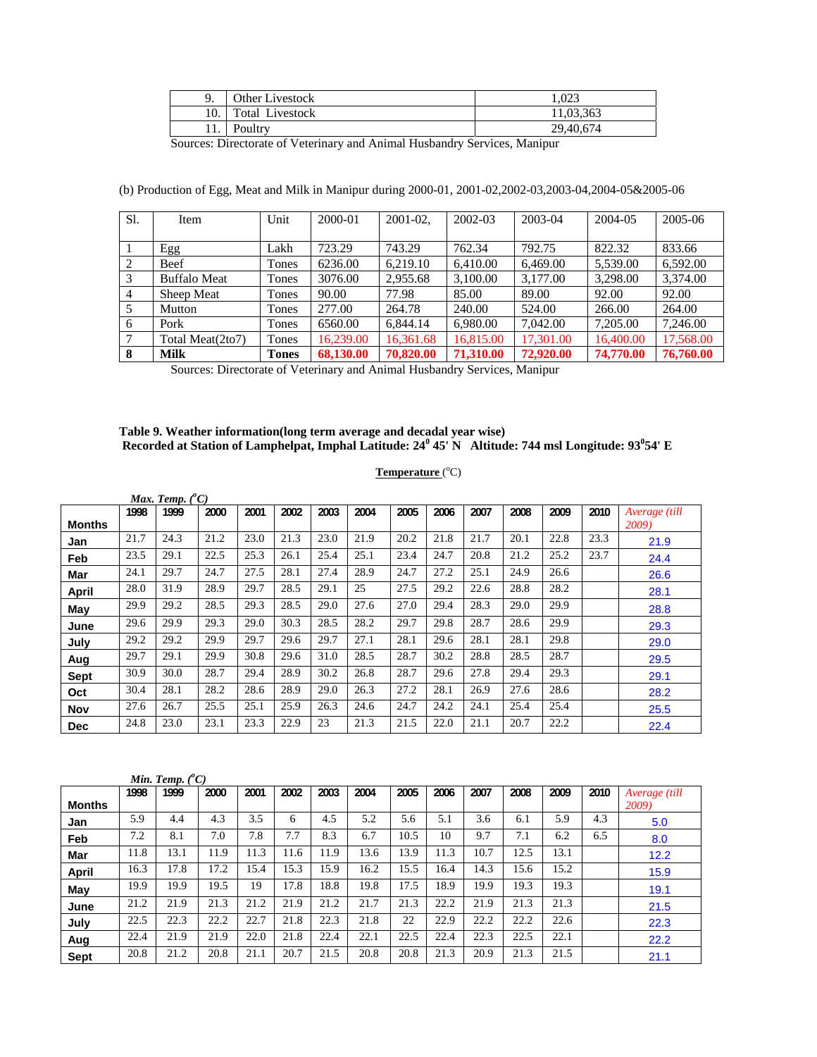|     | Other Livestock        | 1.023     |
|-----|------------------------|-----------|
| 10. | <b>Total Livestock</b> | 11.03.363 |
| 11. | Poultry                | 29,40,674 |

Sources: Directorate of Veterinary and Animal Husbandry Services, Manipur

| Sl.            | Item                | Unit         | 2000-01   | $2001 - 02$ . | 2002-03   | 2003-04   | 2004-05   | 2005-06   |
|----------------|---------------------|--------------|-----------|---------------|-----------|-----------|-----------|-----------|
|                |                     |              |           |               |           |           |           |           |
|                | Egg                 | Lakh         | 723.29    | 743.29        | 762.34    | 792.75    | 822.32    | 833.66    |
| 2              | Beef                | Tones        | 6236.00   | 6.219.10      | 6.410.00  | 6.469.00  | 5,539.00  | 6.592.00  |
| 3              | <b>Buffalo Meat</b> | Tones        | 3076.00   | 2,955.68      | 3,100.00  | 3,177.00  | 3.298.00  | 3,374.00  |
| $\overline{4}$ | Sheep Meat          | Tones        | 90.00     | 77.98         | 85.00     | 89.00     | 92.00     | 92.00     |
|                | Mutton              | Tones        | 277.00    | 264.78        | 240.00    | 524.00    | 266.00    | 264.00    |
| 6              | Pork                | Tones        | 6560.00   | 6,844.14      | 6,980.00  | 7,042.00  | 7,205.00  | 7,246.00  |
| 7              | Total Meat(2to7)    | Tones        | 16.239.00 | 16,361.68     | 16,815.00 | 17,301.00 | 16,400.00 | 17,568.00 |
| 8              | <b>Milk</b>         | <b>Tones</b> | 68,130.00 | 70,820.00     | 71,310.00 | 72,920.00 | 74,770.00 | 76,760.00 |

(b) Production of Egg, Meat and Milk in Manipur during 2000-01, 2001-02,2002-03,2003-04,2004-05&2005-06

Sources: Directorate of Veterinary and Animal Husbandry Services, Manipur

# **Table 9. Weather information(long term average and decadal year wise) Recorded at Station of Lamphelpat, Imphal Latitude: 24<sup>0</sup> 45' N Altitude: 744 msl Longitude: 93<sup>0</sup> 54' E**

### Temperature<sup>(°C)</sup>

|               |      | Max. Temp. $(^{\circ}C)$ |      |      |      |      |      |      |      |      |      |      |      |               |
|---------------|------|--------------------------|------|------|------|------|------|------|------|------|------|------|------|---------------|
|               | 1998 | 1999                     | 2000 | 2001 | 2002 | 2003 | 2004 | 2005 | 2006 | 2007 | 2008 | 2009 | 2010 | Average (till |
| <b>Months</b> |      |                          |      |      |      |      |      |      |      |      |      |      |      | 2009)         |
| Jan           | 21.7 | 24.3                     | 21.2 | 23.0 | 21.3 | 23.0 | 21.9 | 20.2 | 21.8 | 21.7 | 20.1 | 22.8 | 23.3 | 21.9          |
| Feb           | 23.5 | 29.1                     | 22.5 | 25.3 | 26.1 | 25.4 | 25.1 | 23.4 | 24.7 | 20.8 | 21.2 | 25.2 | 23.7 | 24.4          |
| Mar           | 24.1 | 29.7                     | 24.7 | 27.5 | 28.1 | 27.4 | 28.9 | 24.7 | 27.2 | 25.1 | 24.9 | 26.6 |      | 26.6          |
| April         | 28.0 | 31.9                     | 28.9 | 29.7 | 28.5 | 29.1 | 25   | 27.5 | 29.2 | 22.6 | 28.8 | 28.2 |      | 28.1          |
| May           | 29.9 | 29.2                     | 28.5 | 29.3 | 28.5 | 29.0 | 27.6 | 27.0 | 29.4 | 28.3 | 29.0 | 29.9 |      | 28.8          |
| June          | 29.6 | 29.9                     | 29.3 | 29.0 | 30.3 | 28.5 | 28.2 | 29.7 | 29.8 | 28.7 | 28.6 | 29.9 |      | 29.3          |
| July          | 29.2 | 29.2                     | 29.9 | 29.7 | 29.6 | 29.7 | 27.1 | 28.1 | 29.6 | 28.1 | 28.1 | 29.8 |      | 29.0          |
| Aug           | 29.7 | 29.1                     | 29.9 | 30.8 | 29.6 | 31.0 | 28.5 | 28.7 | 30.2 | 28.8 | 28.5 | 28.7 |      | 29.5          |
| <b>Sept</b>   | 30.9 | 30.0                     | 28.7 | 29.4 | 28.9 | 30.2 | 26.8 | 28.7 | 29.6 | 27.8 | 29.4 | 29.3 |      | 29.1          |
| Oct           | 30.4 | 28.1                     | 28.2 | 28.6 | 28.9 | 29.0 | 26.3 | 27.2 | 28.1 | 26.9 | 27.6 | 28.6 |      | 28.2          |
| <b>Nov</b>    | 27.6 | 26.7                     | 25.5 | 25.1 | 25.9 | 26.3 | 24.6 | 24.7 | 24.2 | 24.1 | 25.4 | 25.4 |      | 25.5          |
| <b>Dec</b>    | 24.8 | 23.0                     | 23.1 | 23.3 | 22.9 | 23   | 21.3 | 21.5 | 22.0 | 21.1 | 20.7 | 22.2 |      | 22.4          |

|               |      | Min. Temp. $(^{\circ}C)$ |      |      |      |      |      |      |      |      |      |      |      |               |
|---------------|------|--------------------------|------|------|------|------|------|------|------|------|------|------|------|---------------|
|               | 1998 | 1999                     | 2000 | 2001 | 2002 | 2003 | 2004 | 2005 | 2006 | 2007 | 2008 | 2009 | 2010 | Average (till |
| <b>Months</b> |      |                          |      |      |      |      |      |      |      |      |      |      |      | 2009)         |
| Jan           | 5.9  | 4.4                      | 4.3  | 3.5  | 6    | 4.5  | 5.2  | 5.6  | 5.1  | 3.6  | 6.1  | 5.9  | 4.3  | 5.0           |
| Feb           | 7.2  | 8.1                      | 7.0  | 7.8  | 7.7  | 8.3  | 6.7  | 10.5 | 10   | 9.7  | 7.1  | 6.2  | 6.5  | 8.0           |
| <b>Mar</b>    | 11.8 | 13.1                     | 11.9 | 11.3 | 11.6 | 11.9 | 13.6 | 13.9 | 11.3 | 10.7 | 12.5 | 13.1 |      | 12.2          |
| <b>April</b>  | 16.3 | 17.8                     | 17.2 | 15.4 | 15.3 | 15.9 | 16.2 | 15.5 | 16.4 | 14.3 | 15.6 | 15.2 |      | 15.9          |
| May           | 19.9 | 19.9                     | 19.5 | 19   | 17.8 | 18.8 | 19.8 | 17.5 | 18.9 | 19.9 | 19.3 | 19.3 |      | 19.1          |
| June          | 21.2 | 21.9                     | 21.3 | 21.2 | 21.9 | 21.2 | 21.7 | 21.3 | 22.2 | 21.9 | 21.3 | 21.3 |      | 21.5          |
| July          | 22.5 | 22.3                     | 22.2 | 22.7 | 21.8 | 22.3 | 21.8 | 22   | 22.9 | 22.2 | 22.2 | 22.6 |      | 22.3          |
| Aug           | 22.4 | 21.9                     | 21.9 | 22.0 | 21.8 | 22.4 | 22.1 | 22.5 | 22.4 | 22.3 | 22.5 | 22.1 |      | 22.2          |
| Sept          | 20.8 | 21.2                     | 20.8 | 21.1 | 20.7 | 21.5 | 20.8 | 20.8 | 21.3 | 20.9 | 21.3 | 21.5 |      | 21.1          |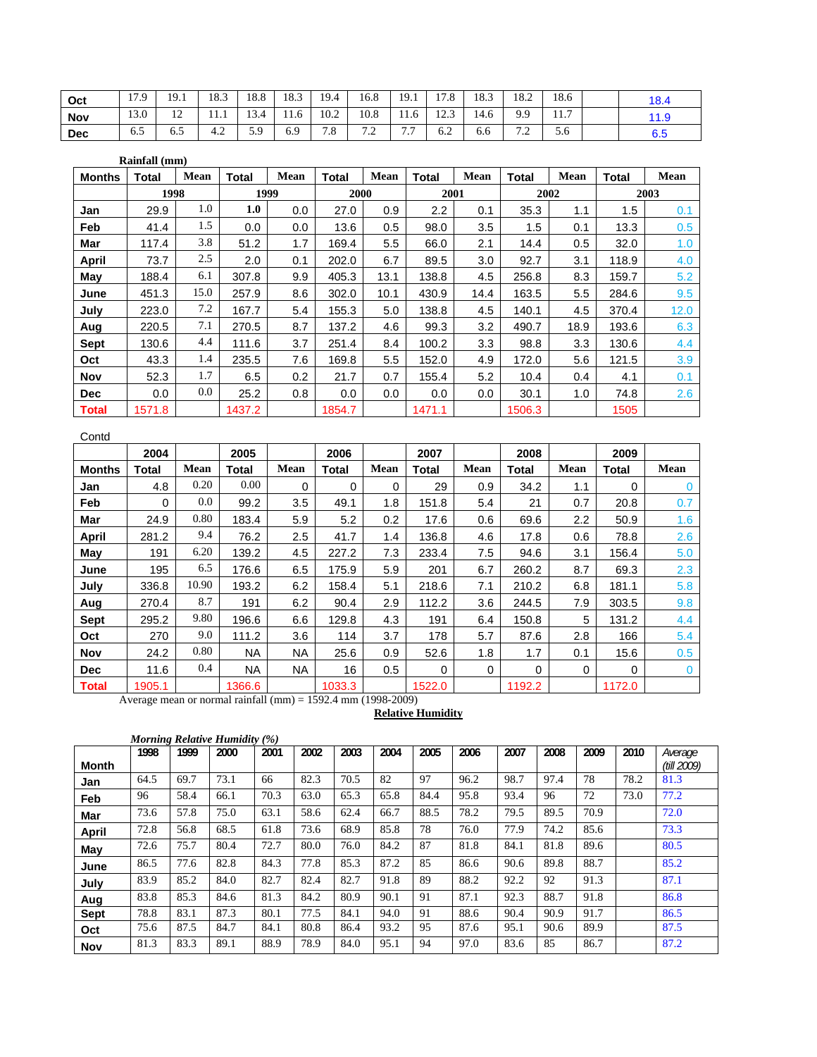| Oct        | 179  | 19.1                          | 18.3 | 18.8 | 18.3 | 19.4 | 16.8                  | 19.1                                | 170<br>11.0 | 18.3 | 18.2                                      | 18.6        | 18.4 |
|------------|------|-------------------------------|------|------|------|------|-----------------------|-------------------------------------|-------------|------|-------------------------------------------|-------------|------|
| <b>Nov</b> | 13.0 | $1^{\circ}$<br>$\overline{1}$ | .    | 13.4 | 11.6 | 10.2 | 10.8                  | 11.6                                | 122<br>12.3 | 14.6 | 9.9                                       | 117<br>11.1 | 11.9 |
| <b>Dec</b> | 6.5  | 6.J                           | 4.2  | 5.9  | 6.9  | 7.8  | $\sim$ $\sim$<br>∠. ا | $\overline{ }$<br>$\cdot\cdot\cdot$ | 6.2         | 6.6  | $\sim$ $\sim$<br>$\overline{\phantom{0}}$ | 5.6         | 6.5  |

|               | Rainfall (mm) |      |        |             |        |      |        |      |              |      |       |      |
|---------------|---------------|------|--------|-------------|--------|------|--------|------|--------------|------|-------|------|
| <b>Months</b> | Total         | Mean | Total  | <b>Mean</b> | Total  | Mean | Total  | Mean | <b>Total</b> | Mean | Total | Mean |
|               | 1998          |      | 1999   |             | 2000   |      | 2001   |      | 2002         |      |       | 2003 |
| Jan           | 29.9          | 1.0  | 1.0    | 0.0         | 27.0   | 0.9  | 2.2    | 0.1  | 35.3         | 1.1  | 1.5   | 0.1  |
| Feb           | 41.4          | 1.5  | 0.0    | 0.0         | 13.6   | 0.5  | 98.0   | 3.5  | 1.5          | 0.1  | 13.3  | 0.5  |
| Mar           | 117.4         | 3.8  | 51.2   | 1.7         | 169.4  | 5.5  | 66.0   | 2.1  | 14.4         | 0.5  | 32.0  | 1.0  |
| <b>April</b>  | 73.7          | 2.5  | 2.0    | 0.1         | 202.0  | 6.7  | 89.5   | 3.0  | 92.7         | 3.1  | 118.9 | 4.0  |
| May           | 188.4         | 6.1  | 307.8  | 9.9         | 405.3  | 13.1 | 138.8  | 4.5  | 256.8        | 8.3  | 159.7 | 5.2  |
| June          | 451.3         | 15.0 | 257.9  | 8.6         | 302.0  | 10.1 | 430.9  | 14.4 | 163.5        | 5.5  | 284.6 | 9.5  |
| July          | 223.0         | 7.2  | 167.7  | 5.4         | 155.3  | 5.0  | 138.8  | 4.5  | 140.1        | 4.5  | 370.4 | 12.0 |
| Aug           | 220.5         | 7.1  | 270.5  | 8.7         | 137.2  | 4.6  | 99.3   | 3.2  | 490.7        | 18.9 | 193.6 | 6.3  |
| Sept          | 130.6         | 4.4  | 111.6  | 3.7         | 251.4  | 8.4  | 100.2  | 3.3  | 98.8         | 3.3  | 130.6 | 4.4  |
| Oct           | 43.3          | 1.4  | 235.5  | 7.6         | 169.8  | 5.5  | 152.0  | 4.9  | 172.0        | 5.6  | 121.5 | 3.9  |
| <b>Nov</b>    | 52.3          | 1.7  | 6.5    | 0.2         | 21.7   | 0.7  | 155.4  | 5.2  | 10.4         | 0.4  | 4.1   | 0.1  |
| <b>Dec</b>    | 0.0           | 0.0  | 25.2   | 0.8         | 0.0    | 0.0  | 0.0    | 0.0  | 30.1         | 1.0  | 74.8  | 2.6  |
| <b>Total</b>  | 1571.8        |      | 1437.2 |             | 1854.7 |      | 1471.1 |      | 1506.3       |      | 1505  |      |

## Contd

|               | 2004     |         | 2005      |             | 2006   |      | 2007   |      | 2008         |          | 2009   |          |
|---------------|----------|---------|-----------|-------------|--------|------|--------|------|--------------|----------|--------|----------|
| <b>Months</b> | Total    | Mean    | Total     | <b>Mean</b> | Total  | Mean | Total  | Mean | <b>Total</b> | Mean     | Total  | Mean     |
| Jan           | 4.8      | 0.20    | 0.00      | $\Omega$    | 0      | 0    | 29     | 0.9  | 34.2         | 1.1      | 0      | $\Omega$ |
| Feb           | $\Omega$ | $0.0\,$ | 99.2      | 3.5         | 49.1   | 1.8  | 151.8  | 5.4  | 21           | 0.7      | 20.8   | 0.7      |
| Mar           | 24.9     | 0.80    | 183.4     | 5.9         | 5.2    | 0.2  | 17.6   | 0.6  | 69.6         | 2.2      | 50.9   | 1.6      |
| <b>April</b>  | 281.2    | 9.4     | 76.2      | 2.5         | 41.7   | 1.4  | 136.8  | 4.6  | 17.8         | 0.6      | 78.8   | 2.6      |
| May           | 191      | 6.20    | 139.2     | 4.5         | 227.2  | 7.3  | 233.4  | 7.5  | 94.6         | 3.1      | 156.4  | 5.0      |
| June          | 195      | 6.5     | 176.6     | 6.5         | 175.9  | 5.9  | 201    | 6.7  | 260.2        | 8.7      | 69.3   | 2.3      |
| July          | 336.8    | 10.90   | 193.2     | 6.2         | 158.4  | 5.1  | 218.6  | 7.1  | 210.2        | 6.8      | 181.1  | 5.8      |
| Aug           | 270.4    | 8.7     | 191       | 6.2         | 90.4   | 2.9  | 112.2  | 3.6  | 244.5        | 7.9      | 303.5  | 9.8      |
| Sept          | 295.2    | 9.80    | 196.6     | 6.6         | 129.8  | 4.3  | 191    | 6.4  | 150.8        | 5        | 131.2  | 4.4      |
| Oct           | 270      | 9.0     | 111.2     | 3.6         | 114    | 3.7  | 178    | 5.7  | 87.6         | 2.8      | 166    | 5.4      |
| <b>Nov</b>    | 24.2     | 0.80    | <b>NA</b> | <b>NA</b>   | 25.6   | 0.9  | 52.6   | 1.8  | 1.7          | 0.1      | 15.6   | 0.5      |
| <b>Dec</b>    | 11.6     | 0.4     | <b>NA</b> | <b>NA</b>   | 16     | 0.5  | 0      | 0    | $\Omega$     | $\Omega$ | 0      | $\Omega$ |
| <b>Total</b>  | 1905.1   |         | 1366.6    |             | 1033.3 |      | 1522.0 |      | 1192.2       |          | 1172.0 |          |

Average mean or normal rainfall (mm) = 1592.4 mm (1998-2009)

#### **Relative Humidity**

|             |      |      | Morning Relative Humidity $(\%)$ |      |      |      |      |      |      |      |      |      |      |                        |
|-------------|------|------|----------------------------------|------|------|------|------|------|------|------|------|------|------|------------------------|
| Month       | 1998 | 1999 | 2000                             | 2001 | 2002 | 2003 | 2004 | 2005 | 2006 | 2007 | 2008 | 2009 | 2010 | Average<br>(till 2009) |
| Jan         | 64.5 | 69.7 | 73.1                             | 66   | 82.3 | 70.5 | 82   | 97   | 96.2 | 98.7 | 97.4 | 78   | 78.2 | 81.3                   |
| Feb         | 96   | 58.4 | 66.1                             | 70.3 | 63.0 | 65.3 | 65.8 | 84.4 | 95.8 | 93.4 | 96   | 72   | 73.0 | 77.2                   |
| Mar         | 73.6 | 57.8 | 75.0                             | 63.1 | 58.6 | 62.4 | 66.7 | 88.5 | 78.2 | 79.5 | 89.5 | 70.9 |      | 72.0                   |
| April       | 72.8 | 56.8 | 68.5                             | 61.8 | 73.6 | 68.9 | 85.8 | 78   | 76.0 | 77.9 | 74.2 | 85.6 |      | 73.3                   |
| May         | 72.6 | 75.7 | 80.4                             | 72.7 | 80.0 | 76.0 | 84.2 | 87   | 81.8 | 84.1 | 81.8 | 89.6 |      | 80.5                   |
| June        | 86.5 | 77.6 | 82.8                             | 84.3 | 77.8 | 85.3 | 87.2 | 85   | 86.6 | 90.6 | 89.8 | 88.7 |      | 85.2                   |
| July        | 83.9 | 85.2 | 84.0                             | 82.7 | 82.4 | 82.7 | 91.8 | 89   | 88.2 | 92.2 | 92   | 91.3 |      | 87.1                   |
| Aug         | 83.8 | 85.3 | 84.6                             | 81.3 | 84.2 | 80.9 | 90.1 | 91   | 87.1 | 92.3 | 88.7 | 91.8 |      | 86.8                   |
| <b>Sept</b> | 78.8 | 83.1 | 87.3                             | 80.1 | 77.5 | 84.1 | 94.0 | 91   | 88.6 | 90.4 | 90.9 | 91.7 |      | 86.5                   |
| Oct         | 75.6 | 87.5 | 84.7                             | 84.1 | 80.8 | 86.4 | 93.2 | 95   | 87.6 | 95.1 | 90.6 | 89.9 |      | 87.5                   |
| <b>Nov</b>  | 81.3 | 83.3 | 89.1                             | 88.9 | 78.9 | 84.0 | 95.1 | 94   | 97.0 | 83.6 | 85   | 86.7 |      | 87.2                   |